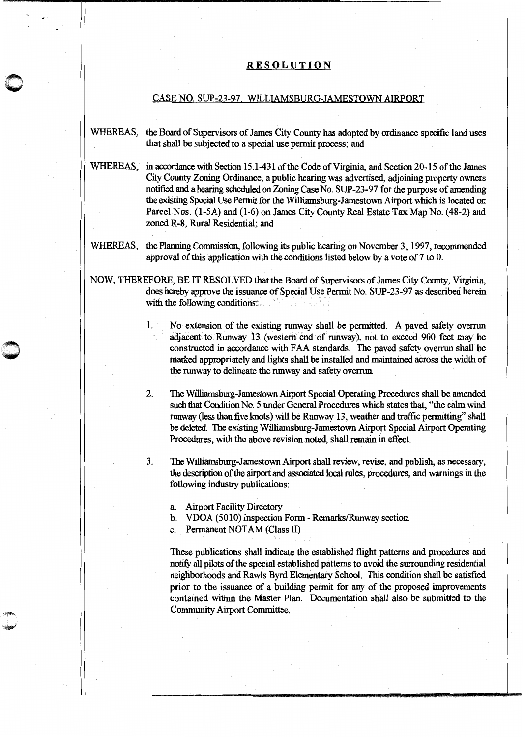## RESOLUTION

## CASE NO. SUP-23-97. WILLIAMSBURG-JAMESTOWN AIRPORT

 $\bigcirc$ 

 $\sim$  $\ddot{\phantom{0}}$ 

. ··~

- WHEREAS, the Board of Supervisors of James City County has adopted by ordinance specific land uses that shall be subjected to a special use permit process; and
- WHEREAS, in accordance with Section 15.1-431 of the Code of Virginia, and Section 20-15 of the James City County Zoning Ordinance, a public hearing was advertised, adjoining property owners notified and a hearing scheduled on Zoning Case No. SUP-23-97 for the purpose of amending the existing Special Use Permit for the Williamsburg-Jamestown Airport which is located on Parcel Nos. (1-5A) and (1-6) on James City County Real Estate Tax Map No. (48-2) and zoned R-8, Rural Residential; and
- WHEREAS, the Planning Commission, following its public hearing on November 3, 1997, recommended approval of this application with the conditions listed below by a vote of  $7$  to  $0$ .

NOW, THEREFORE, BE IT RESOLVED that the Board of Supervisors of James City County, Virginia, does hereby approve the issuance of Special Use Permit No. SUP-23-97 as described herein with the following conditions:

- 1. No extension of the existing runway shall be permitted. A paved safety overrun adjacent to Runway 13 (western end of runway), not to exceed 900 feet may be constructed in accordance with FAA standards. The paved safety overrun shall be marked appropriately and lights shall be installed and maintained across the width of the runway to delineate the runway and safety overrun.
- 2. The Williamsburg-Jamestown Airport Special Operating Procedures shall be amended such that Condition No. *5* under General Procedures which states that, "the calm wind runway (less than five knots) will be Runway 13, weather and traffic permitting" shall be deleted. The existing Williamsburg-Jamestown Airport Special Airport Operating Procedures, with the above revision noted, shall remain in effect.

3. The Williamsburg-Jamestown Airport shall review, revise, and publish, as necessary, the description of the airport and associated local rules, procedures, and warnings in the following industry publications:

a. Airport Facility Directory

- b. VDOA (5010) Inspection Form Remarks/Runway section.
- c. Permanent NOTAM (Class II)

These publications shall indicate the established flight patterns and procedures and notify all pilots of the special established patterns to avoid the surrounding residential neighborhoods and Rawls Byrd Elementary School. This condition shall be satisfied prior to the issuance of a building permit for any of the proposed improvements contained within the Master Plan. Documentation shall also be submitted to the Community Airport Committee .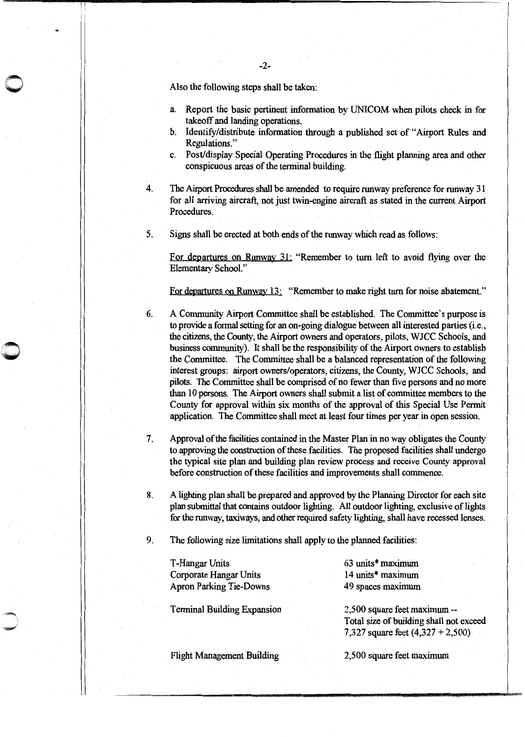Also the following steps shall be taken:

- a. Report the basic pertinent information by UNICOM when pilots check in for takeoff and landing operations.
- b. Identify/distribute information through a published set of "Airport Rules and Regulations."
- c. Post/display Special Operating Procedures in the flight planning area and other conspicuous areas of the terminal building.
- 4. The Airport Procedures shall be amended to require runway preference for runway 31 for all arriving aircraft, not just twin-engine aircraft as stated in the current Airport Procedures.
- 5. Signs shall be erected at both ends of the runway which read as follows:

For departures on Runway 31: "Remember to turn left to avoid flying over the Elementary School."

For departures on Runway 13: "Remember to make right turn for noise abatement."

- 6. A Community Airport Committee shall be established. The Committee's purpose is to provide a formal setting for an on-going dialogue between all interested parties (i.e., the citizens, the County, the Airport owners and operators, pilots, WJCC Schools, and business community). It shall be the responsibility of the Airport owners to establish the Committee. The Committee shall be a balanced representation of the following interest groups: airport owners/operators, citizens, the County, WJCC Schools, and pilots. The Committee shall be comprised of no fewer than five persons and no more than 10 persons. The Airport owners shall submit a list of committee members to the County for approval within six months of the approval of this Special Use Permit application. The Committee shall meet at least four times per year in open session.
- 7. Approval of the facilities contained in the Master Plan in no way obligates the County to approving the construction of these facilities. The proposed facilities shall undergo the typical site plan and building plan review process and receive County approval before construction of these facilities and improvements shall commence.
- 8. A lighting plan shall be prepared and approved by the Planning Director for each site plan submittal that contains outdoor lighting. All outdoor lighting, exclusive of lights for the runway, taxiways, and other required safety lighting, shall have recessed lenses.

9. The following size limitations shall apply to the planned facilities:

| <b>T-Hangar Units</b>          | 63 units* maximum             |
|--------------------------------|-------------------------------|
| Corporate Hangar Units         | 14 units <sup>*</sup> maximum |
| <b>Apron Parking Tie-Downs</b> | 49 spaces maximum             |

Terminal Building Expansion

2,500 square feet maximum -- Total size of building shall not exceed 7,327 square feet (4,327 + 2,500)

Flight Management Building

2,500 square feet maximum

. I!